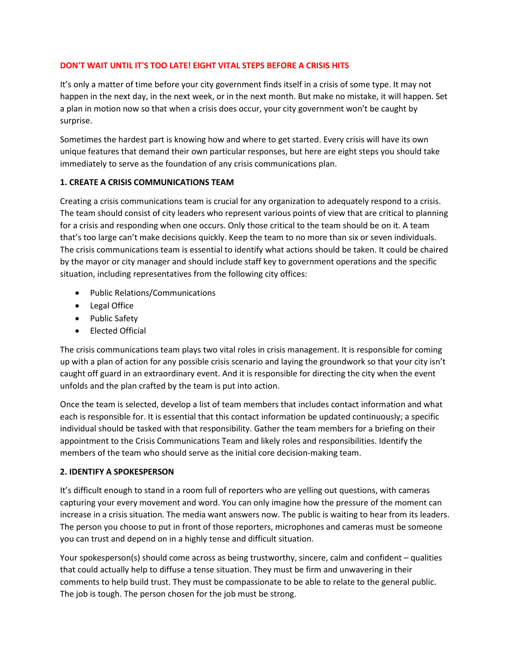### **DON'T WAIT UNTIL IT'S TOO LATE! EIGHT VITAL STEPS BEFORE A CRISIS HITS**

It's only a matter of time before your city government finds itself in a crisis of some type. It may not happen in the next day, in the next week, or in the next month. But make no mistake, it will happen. Set a plan in motion now so that when a crisis does occur, your city government won't be caught by surprise.

Sometimes the hardest part is knowing how and where to get started. Every crisis will have its own unique features that demand their own particular responses, but here are eight steps you should take immediately to serve as the foundation of any crisis communications plan.

#### **1. CREATE A CRISIS COMMUNICATIONS TEAM**

Creating a crisis communications team is crucial for any organization to adequately respond to a crisis. The team should consist of city leaders who represent various points of view that are critical to planning for a crisis and responding when one occurs. Only those critical to the team should be on it. A team that's too large can't make decisions quickly. Keep the team to no more than six or seven individuals. The crisis communications team is essential to identify what actions should be taken. It could be chaired by the mayor or city manager and should include staff key to government operations and the specific situation, including representatives from the following city offices:

- Public Relations/Communications
- Legal Office
- Public Safety
- Elected Official

The crisis communications team plays two vital roles in crisis management. It is responsible for coming up with a plan of action for any possible crisis scenario and laying the groundwork so that your city isn't caught off guard in an extraordinary event. And it is responsible for directing the city when the event unfolds and the plan crafted by the team is put into action.

Once the team is selected, develop a list of team members that includes contact information and what each is responsible for. It is essential that this contact information be updated continuously; a specific individual should be tasked with that responsibility. Gather the team members for a briefing on their appointment to the Crisis Communications Team and likely roles and responsibilities. Identify the members of the team who should serve as the initial core decision-making team.

## **2. IDENTIFY A SPOKESPERSON**

It's difficult enough to stand in a room full of reporters who are yelling out questions, with cameras capturing your every movement and word. You can only imagine how the pressure of the moment can increase in a crisis situation. The media want answers now. The public is waiting to hear from its leaders. The person you choose to put in front of those reporters, microphones and cameras must be someone you can trust and depend on in a highly tense and difficult situation.

Your spokesperson(s) should come across as being trustworthy, sincere, calm and confident – qualities that could actually help to diffuse a tense situation. They must be firm and unwavering in their comments to help build trust. They must be compassionate to be able to relate to the general public. The job is tough. The person chosen for the job must be strong.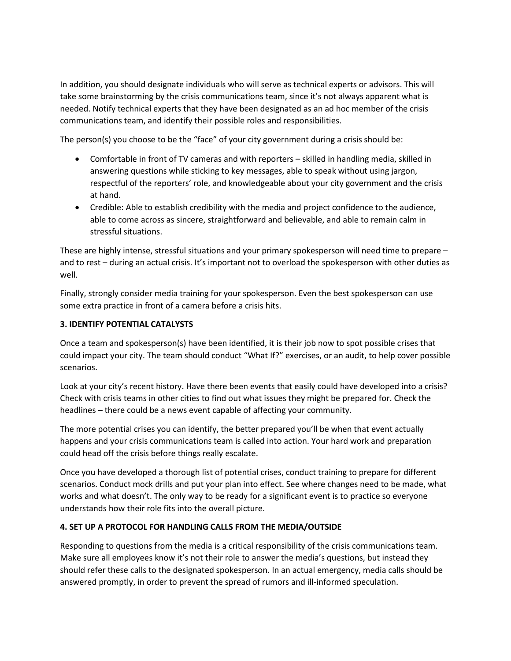In addition, you should designate individuals who will serve as technical experts or advisors. This will take some brainstorming by the crisis communications team, since it's not always apparent what is needed. Notify technical experts that they have been designated as an ad hoc member of the crisis communications team, and identify their possible roles and responsibilities.

The person(s) you choose to be the "face" of your city government during a crisis should be:

- Comfortable in front of TV cameras and with reporters skilled in handling media, skilled in answering questions while sticking to key messages, able to speak without using jargon, respectful of the reporters' role, and knowledgeable about your city government and the crisis at hand.
- Credible: Able to establish credibility with the media and project confidence to the audience, able to come across as sincere, straightforward and believable, and able to remain calm in stressful situations.

These are highly intense, stressful situations and your primary spokesperson will need time to prepare – and to rest – during an actual crisis. It's important not to overload the spokesperson with other duties as well.

Finally, strongly consider media training for your spokesperson. Even the best spokesperson can use some extra practice in front of a camera before a crisis hits.

### **3. IDENTIFY POTENTIAL CATALYSTS**

Once a team and spokesperson(s) have been identified, it is their job now to spot possible crises that could impact your city. The team should conduct "What If?" exercises, or an audit, to help cover possible scenarios.

Look at your city's recent history. Have there been events that easily could have developed into a crisis? Check with crisis teams in other cities to find out what issues they might be prepared for. Check the headlines – there could be a news event capable of affecting your community.

The more potential crises you can identify, the better prepared you'll be when that event actually happens and your crisis communications team is called into action. Your hard work and preparation could head off the crisis before things really escalate.

Once you have developed a thorough list of potential crises, conduct training to prepare for different scenarios. Conduct mock drills and put your plan into effect. See where changes need to be made, what works and what doesn't. The only way to be ready for a significant event is to practice so everyone understands how their role fits into the overall picture.

#### **4. SET UP A PROTOCOL FOR HANDLING CALLS FROM THE MEDIA/OUTSIDE**

Responding to questions from the media is a critical responsibility of the crisis communications team. Make sure all employees know it's not their role to answer the media's questions, but instead they should refer these calls to the designated spokesperson. In an actual emergency, media calls should be answered promptly, in order to prevent the spread of rumors and ill-informed speculation.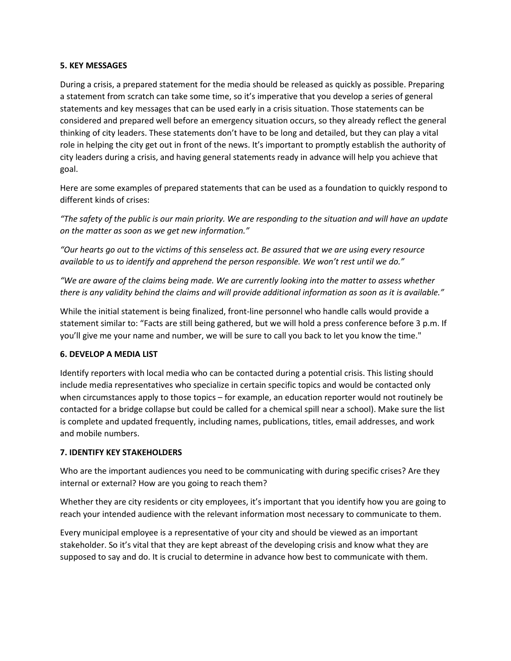#### **5. KEY MESSAGES**

During a crisis, a prepared statement for the media should be released as quickly as possible. Preparing a statement from scratch can take some time, so it's imperative that you develop a series of general statements and key messages that can be used early in a crisis situation. Those statements can be considered and prepared well before an emergency situation occurs, so they already reflect the general thinking of city leaders. These statements don't have to be long and detailed, but they can play a vital role in helping the city get out in front of the news. It's important to promptly establish the authority of city leaders during a crisis, and having general statements ready in advance will help you achieve that goal.

Here are some examples of prepared statements that can be used as a foundation to quickly respond to different kinds of crises:

*"The safety of the public is our main priority. We are responding to the situation and will have an update on the matter as soon as we get new information."*

*"Our hearts go out to the victims of this senseless act. Be assured that we are using every resource available to us to identify and apprehend the person responsible. We won't rest until we do."*

*"We are aware of the claims being made. We are currently looking into the matter to assess whether there is any validity behind the claims and will provide additional information as soon as it is available."*

While the initial statement is being finalized, front-line personnel who handle calls would provide a statement similar to: "Facts are still being gathered, but we will hold a press conference before 3 p.m. If you'll give me your name and number, we will be sure to call you back to let you know the time."

#### **6. DEVELOP A MEDIA LIST**

Identify reporters with local media who can be contacted during a potential crisis. This listing should include media representatives who specialize in certain specific topics and would be contacted only when circumstances apply to those topics – for example, an education reporter would not routinely be contacted for a bridge collapse but could be called for a chemical spill near a school). Make sure the list is complete and updated frequently, including names, publications, titles, email addresses, and work and mobile numbers.

## **7. IDENTIFY KEY STAKEHOLDERS**

Who are the important audiences you need to be communicating with during specific crises? Are they internal or external? How are you going to reach them?

Whether they are city residents or city employees, it's important that you identify how you are going to reach your intended audience with the relevant information most necessary to communicate to them.

Every municipal employee is a representative of your city and should be viewed as an important stakeholder. So it's vital that they are kept abreast of the developing crisis and know what they are supposed to say and do. It is crucial to determine in advance how best to communicate with them.